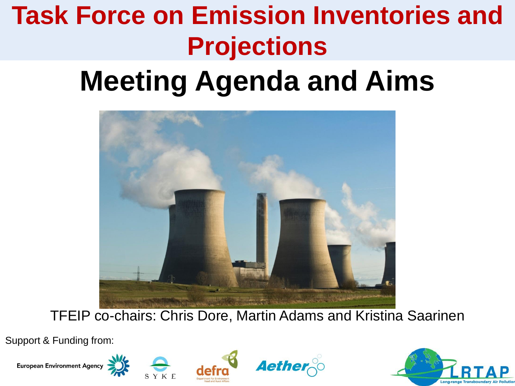# **Task Force on Emission Inventories and Projections**

# **Meeting Agenda and Aims**



TFEIP co-chairs: Chris Dore, Martin Adams and Kristina Saarinen

Support & Funding from:









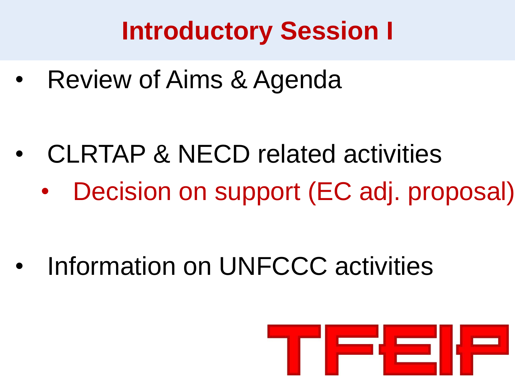## **Introductory Session I**

• Review of Aims & Agenda

- CLRTAP & NECD related activities
	- Decision on support (EC adj. proposal)

Information on UNFCCC activities

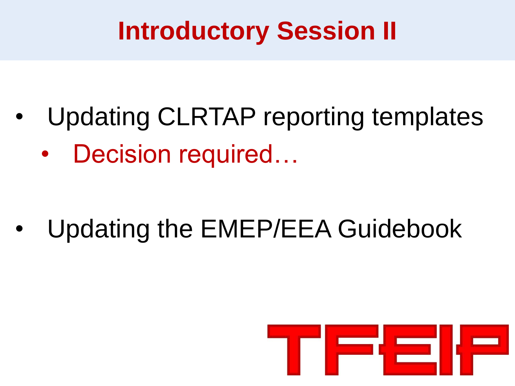#### **Introductory Session II**

- Updating CLRTAP reporting templates
	- Decision required...

• Updating the EMEP/EEA Guidebook

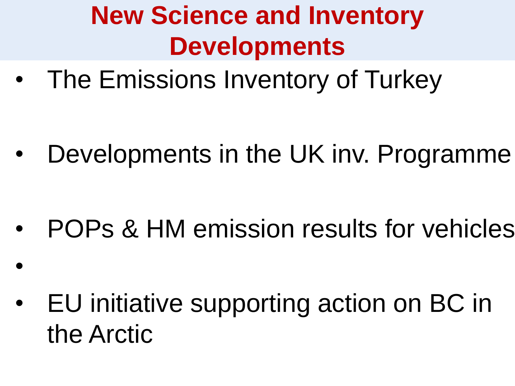# **New Science and Inventory Developments**

• The Emissions Inventory of Turkey

• Developments in the UK inv. Programme

• POPs & HM emission results for vehicles

• EU initiative supporting action on BC in the Arctic

•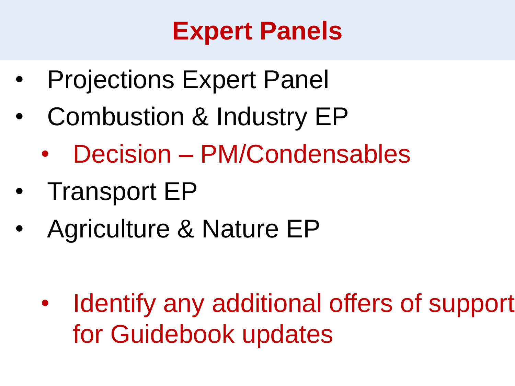#### **Expert Panels**

- Projections Expert Panel
- Combustion & Industry EP
	- Decision PM/Condensables
- Transport EP
- Agriculture & Nature EP

• Identify any additional offers of support for Guidebook updates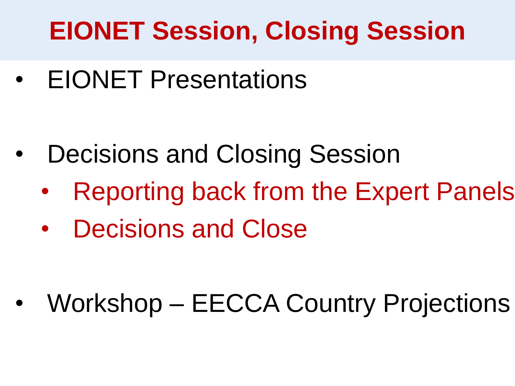## **EIONET Session, Closing Session**

• EIONET Presentations

- Decisions and Closing Session
	- Reporting back from the Expert Panels
	- Decisions and Close

• Workshop – EECCA Country Projections